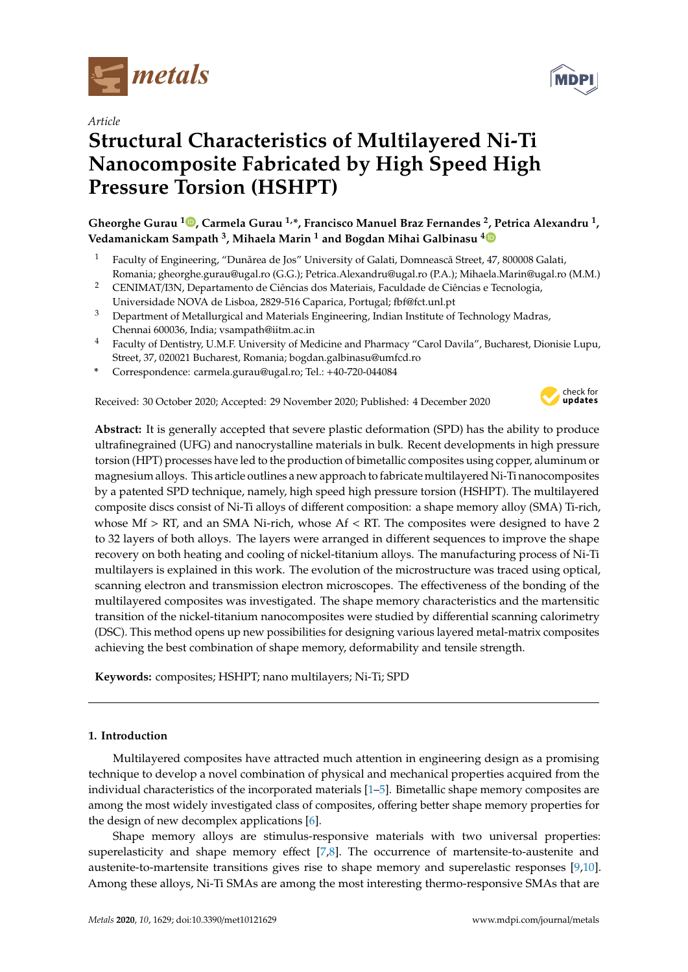

*Article*

# **Structural Characteristics of Multilayered Ni-Ti Nanocomposite Fabricated by High Speed High Pressure Torsion (HSHPT)**

**Gheorghe Gurau <sup>1</sup> , Carmela Gurau 1,\*, Francisco Manuel Braz Fernandes <sup>2</sup> , Petrica Alexandru <sup>1</sup> , Vedamanickam Sampath <sup>3</sup> , Mihaela Marin <sup>1</sup> and Bogdan Mihai Galbinasu <sup>4</sup>**

- <sup>1</sup> Faculty of Engineering, "Dunărea de Jos" University of Galati, Domnească Street, 47, 800008 Galati, Romania; gheorghe.gurau@ugal.ro (G.G.); Petrica.Alexandru@ugal.ro (P.A.); Mihaela.Marin@ugal.ro (M.M.)
- <sup>2</sup> CENIMAT/I3N, Departamento de Ciências dos Materiais, Faculdade de Ciências e Tecnologia, Universidade NOVA de Lisboa, 2829-516 Caparica, Portugal; fbf@fct.unl.pt
- <sup>3</sup> Department of Metallurgical and Materials Engineering, Indian Institute of Technology Madras, Chennai 600036, India; vsampath@iitm.ac.in
- <sup>4</sup> Faculty of Dentistry, U.M.F. University of Medicine and Pharmacy "Carol Davila", Bucharest, Dionisie Lupu, Street, 37, 020021 Bucharest, Romania; bogdan.galbinasu@umfcd.ro
- **\*** Correspondence: carmela.gurau@ugal.ro; Tel.: +40-720-044084

Received: 30 October 2020; Accepted: 29 November 2020; Published: 4 December 2020



**Abstract:** It is generally accepted that severe plastic deformation (SPD) has the ability to produce ultrafinegrained (UFG) and nanocrystalline materials in bulk. Recent developments in high pressure torsion (HPT) processes have led to the production of bimetallic composites using copper, aluminum or magnesium alloys. This article outlines a new approach to fabricate multilayered Ni-Ti nanocomposites by a patented SPD technique, namely, high speed high pressure torsion (HSHPT). The multilayered composite discs consist of Ni-Ti alloys of different composition: a shape memory alloy (SMA) Ti-rich, whose  $Mf > RT$ , and an SMA Ni-rich, whose  $Af < RT$ . The composites were designed to have 2 to 32 layers of both alloys. The layers were arranged in different sequences to improve the shape recovery on both heating and cooling of nickel-titanium alloys. The manufacturing process of Ni-Ti multilayers is explained in this work. The evolution of the microstructure was traced using optical, scanning electron and transmission electron microscopes. The effectiveness of the bonding of the multilayered composites was investigated. The shape memory characteristics and the martensitic transition of the nickel-titanium nanocomposites were studied by differential scanning calorimetry (DSC). This method opens up new possibilities for designing various layered metal-matrix composites achieving the best combination of shape memory, deformability and tensile strength.

**Keywords:** composites; HSHPT; nano multilayers; Ni-Ti; SPD

### **1. Introduction**

Multilayered composites have attracted much attention in engineering design as a promising technique to develop a novel combination of physical and mechanical properties acquired from the individual characteristics of the incorporated materials [1–5]. Bimetallic shape memory composites are among the most widely investigated class of composites, offering better shape memory properties for the design of new decomplex applications [6].

Shape memory alloys are stimulus-responsive materials with two universal properties: superelasticity and shape memory effect [7,8]. The occurrence of martensite-to-austenite and austenite-to-martensite transitions gives rise to shape memory and superelastic responses [9,10]. Among these alloys, Ni-Ti SMAs are among the most interesting thermo-responsive SMAs that are

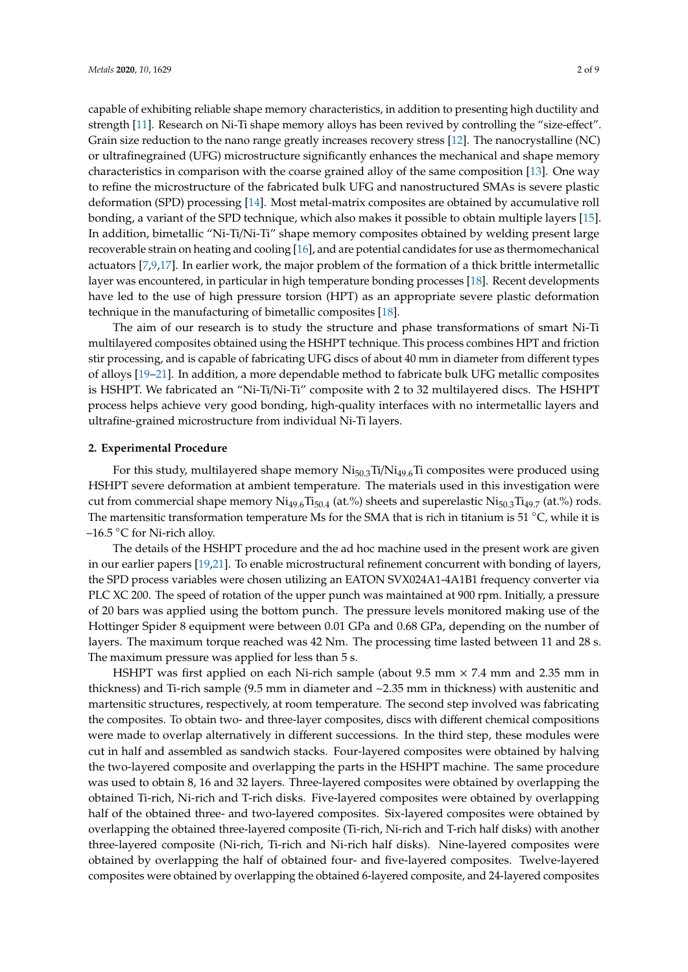capable of exhibiting reliable shape memory characteristics, in addition to presenting high ductility and strength [11]. Research on Ni-Ti shape memory alloys has been revived by controlling the "size-effect". Grain size reduction to the nano range greatly increases recovery stress [12]. The nanocrystalline (NC) or ultrafinegrained (UFG) microstructure significantly enhances the mechanical and shape memory characteristics in comparison with the coarse grained alloy of the same composition [13]. One way to refine the microstructure of the fabricated bulk UFG and nanostructured SMAs is severe plastic deformation (SPD) processing [14]. Most metal-matrix composites are obtained by accumulative roll bonding, a variant of the SPD technique, which also makes it possible to obtain multiple layers [15]. In addition, bimetallic "Ni-Ti/Ni-Ti" shape memory composites obtained by welding present large recoverable strain on heating and cooling [16], and are potential candidates for use as thermomechanical actuators [7,9,17]. In earlier work, the major problem of the formation of a thick brittle intermetallic layer was encountered, in particular in high temperature bonding processes [18]. Recent developments have led to the use of high pressure torsion (HPT) as an appropriate severe plastic deformation technique in the manufacturing of bimetallic composites [18].

The aim of our research is to study the structure and phase transformations of smart Ni-Ti multilayered composites obtained using the HSHPT technique. This process combines HPT and friction stir processing, and is capable of fabricating UFG discs of about 40 mm in diameter from different types of alloys [19–21]. In addition, a more dependable method to fabricate bulk UFG metallic composites is HSHPT. We fabricated an "Ni-Ti/Ni-Ti" composite with 2 to 32 multilayered discs. The HSHPT process helps achieve very good bonding, high-quality interfaces with no intermetallic layers and ultrafine-grained microstructure from individual Ni-Ti layers.

#### **2. Experimental Procedure**

For this study, multilayered shape memory  $Ni_{50,3}Ti/Ni_{49,6}Ti$  composites were produced using HSHPT severe deformation at ambient temperature. The materials used in this investigation were cut from commercial shape memory Ni<sub>49.6</sub>Ti<sub>50.4</sub> (at.%) sheets and superelastic Ni<sub>50.3</sub>Ti<sub>49.7</sub> (at.%) rods. The martensitic transformation temperature Ms for the SMA that is rich in titanium is 51  $°C$ , while it is –16.5 °C for Ni-rich alloy.

The details of the HSHPT procedure and the ad hoc machine used in the present work are given in our earlier papers [19,21]. To enable microstructural refinement concurrent with bonding of layers, the SPD process variables were chosen utilizing an EATON SVX024A1-4A1B1 frequency converter via PLC XC 200. The speed of rotation of the upper punch was maintained at 900 rpm. Initially, a pressure of 20 bars was applied using the bottom punch. The pressure levels monitored making use of the Hottinger Spider 8 equipment were between 0.01 GPa and 0.68 GPa, depending on the number of layers. The maximum torque reached was 42 Nm. The processing time lasted between 11 and 28 s. The maximum pressure was applied for less than 5 s.

HSHPT was first applied on each Ni-rich sample (about 9.5 mm  $\times$  7.4 mm and 2.35 mm in thickness) and Ti-rich sample (9.5 mm in diameter and  $\sim$  2.35 mm in thickness) with austenitic and martensitic structures, respectively, at room temperature. The second step involved was fabricating the composites. To obtain two- and three-layer composites, discs with different chemical compositions were made to overlap alternatively in different successions. In the third step, these modules were cut in half and assembled as sandwich stacks. Four-layered composites were obtained by halving the two-layered composite and overlapping the parts in the HSHPT machine. The same procedure was used to obtain 8, 16 and 32 layers. Three-layered composites were obtained by overlapping the obtained Ti-rich, Ni-rich and T-rich disks. Five-layered composites were obtained by overlapping half of the obtained three- and two-layered composites. Six-layered composites were obtained by overlapping the obtained three-layered composite (Ti-rich, Ni-rich and T-rich half disks) with another three-layered composite (Ni-rich, Ti-rich and Ni-rich half disks). Nine-layered composites were obtained by overlapping the half of obtained four- and five-layered composites. Twelve-layered composites were obtained by overlapping the obtained 6-layered composite, and 24-layered composites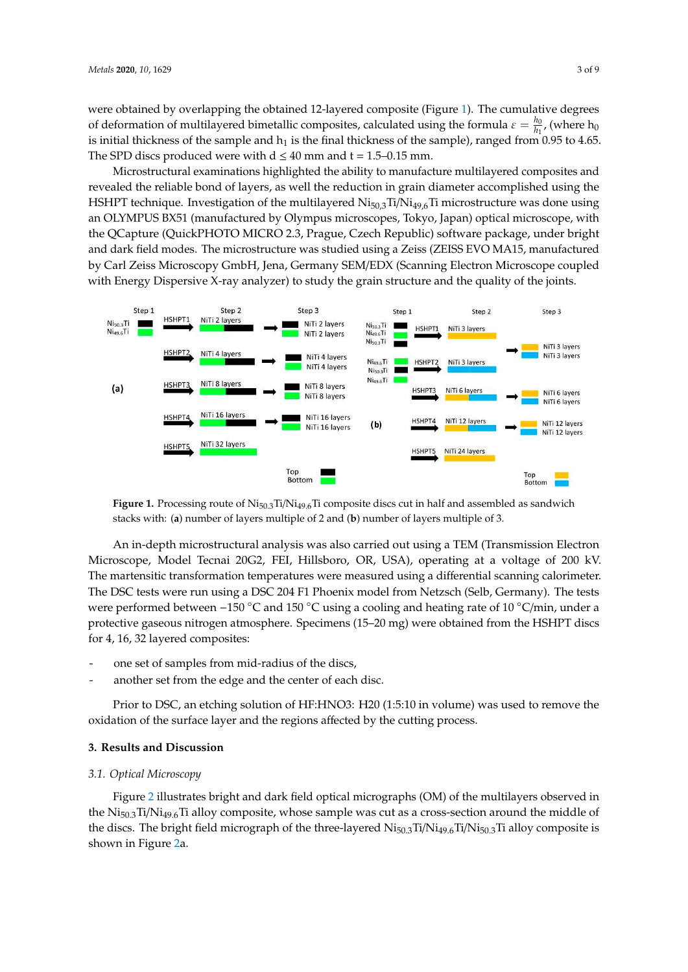were obtained by overlapping the obtained 12-layered composite (Figure 1). The cumulative degrees of deformation of multilayered bimetallic composites, calculated using the formula  $\varepsilon = \frac{h_0}{h_0}$ tion of multilayered bimetallic composites, calculated using the formula  $\varepsilon = \frac{n_0}{h_1}$ , (where  $h_0$ ) is initial thickness of the sample and  $h_1$  is the final thickness of the sample), ranged from 0.95 to 4.65. The SPD discs produced were with  $d \le 40$  mm and  $t = 1.5 - 0.15$  mm.

Microstructural examinations highlighted the ability to manufacture multilayered composites and revealed the reliable bond of layers, as well the reduction in grain diameter accomplished using the HSHPT technique. Investigation of the multilayered  $Ni_{50,3}Ti/Ni_{49,6}Ti$  microstructure was done using an OLYMPUS BX51 (manufactured by Olympus microscopes, Tokyo, Japan) optical microscope, with the QCapture (QuickPHOTO MICRO 2.3, Prague, Czech Republic) software package, under bright and dark field modes. The microstructure was studied using a Zeiss (ZEISS EVO MA15, manufactured by Carl Zeiss Microscopy GmbH, Jena, Germany SEM/EDX (Scanning Electron Microscope coupled with Energy Dispersive X-ray analyzer) to study the grain structure and the quality of the joints.



**Figure 1.** Processing route of Ni<sub>50.3</sub>Ti/Ni<sub>49.6</sub>Ti composite discs cut in half and assembled as sandwich stacks with: (**a**) number of layers multiple of 2 and (**b**) number of layers multiple of 3.

were performed between –150 °C and 150 °C using a cooling and heating rate of 10 °C/min, under a An in-depth microstructural analysis was also carried out using a TEM (Transmission Electron Microscope, Model Tecnai 20G2, FEI, Hillsboro, OR, USA), operating at a voltage of 200 kV. The martensitic transformation temperatures were measured using a differential scanning calorimeter. The DSC tests were run using a DSC 204 F1 Phoenix model from Netzsch (Selb, Germany). The tests protective gaseous nitrogen atmosphere. Specimens (15–20 mg) were obtained from the HSHPT discs for 4, 16, 32 layered composites:

- - one set of samples from mid-radius of the discs,
- another set from the edge and the center of each disc.

Prior to DSC, an etching solution of HF:HNO3: H20 (1:5:10 in volume) was used to remove the oxidation of the surface layer and the regions affected by the cutting process.

#### **3. Results and Discussion**

#### *3.1. Optical Microscopy*

Figure 2 illustrates bright and dark field optical micrographs (OM) of the multilayers observed in the  $N$ i<sub>50.3</sub>Ti/Ni<sub>49.6</sub>Ti alloy composite, whose sample was cut as a cross-section around the middle of the discs. The bright field micrograph of the three-layered  $Ni_{50,3}Ti/Ni_{49,6}Ti/Ni_{50,3}Ti$  alloy composite is shown in Figure 2a.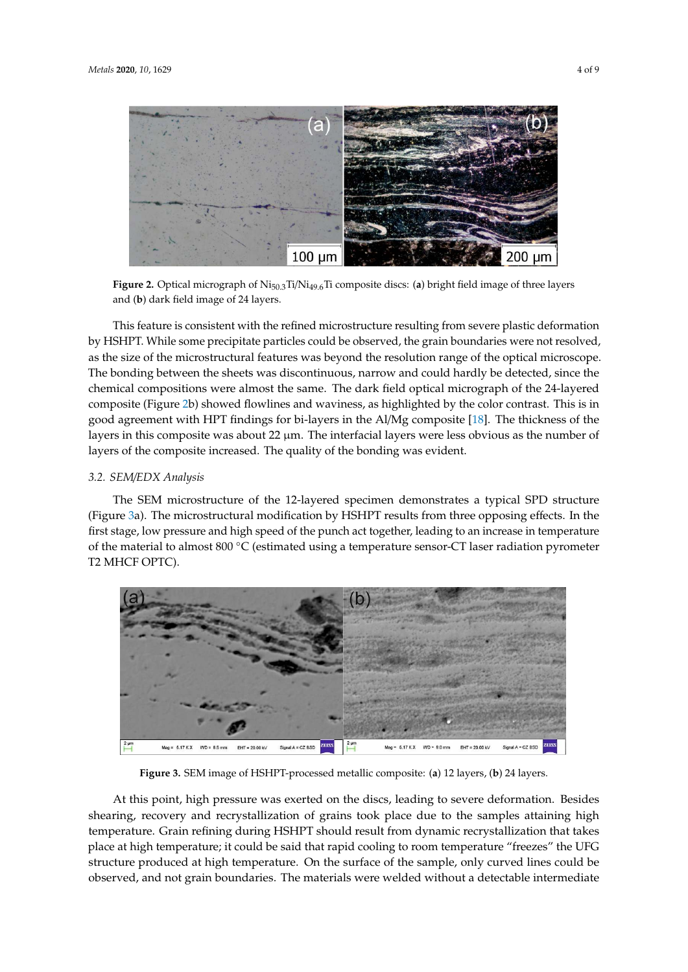

**Figure 2.** Optical micrograph of Ni50.3Ti/Ni49.6Ti composite discs: (**a**) bright field image of three layers and (**b**) dark field image of 24 layers.

This feature is consistent with the refined microstructure resulting from severe plastic deformation by HSHPT. While some precipitate particles could be observed, the grain boundaries were not resolved, as the size of the microstructural features was beyond the resolution range of the optical microscope. The bonding between the sheets was discontinuous, narrow and could hardly be detected, since the chemical compositions were almost the same. The dark field optical micrograph of the 24-layered composite (Figure 2b) showed flowlines and waviness, as highlighted by the color contrast. This is in good agreement with HPT findings for bi-layers in the Al/Mg composite [18]. The thickness of the layers in this composite was about 22 µm. The interfacial layers were less obvious as the number of layers of the composite increased. The quality of the bonding was evident.

#### *3.2. SEM*/*EDX Analysis*

The SEM microstructure of the 12-layered specimen demonstrates a typical SPD structure (Figure 3a). The microstructural modification by HSHPT results from three opposing effects. In the first stage, low pressure and high speed of the punch act together, leading to an increase in temperature of the material to almost 800  $\degree$ C (estimated using a temperature sensor-CT laser radiation pyrometer T2 MHCF OPTC).



**Figure 3.** SEM image of HSHPT-processed metallic composite: (**a**) 12 layers, (**b**) 24 layers.

At this point, high pressure was exerted on the discs, leading to severe deformation. Besides shearing, recovery and recrystallization of grains took place due to the samples attaining high temperature. Grain refining during HSHPT should result from dynamic recrystallization that takes place at high temperature; it could be said that rapid cooling to room temperature "freezes" the UFG structure produced at high temperature. On the surface of the sample, only curved lines could be observed, and not grain boundaries. The materials were welded without a detectable intermediate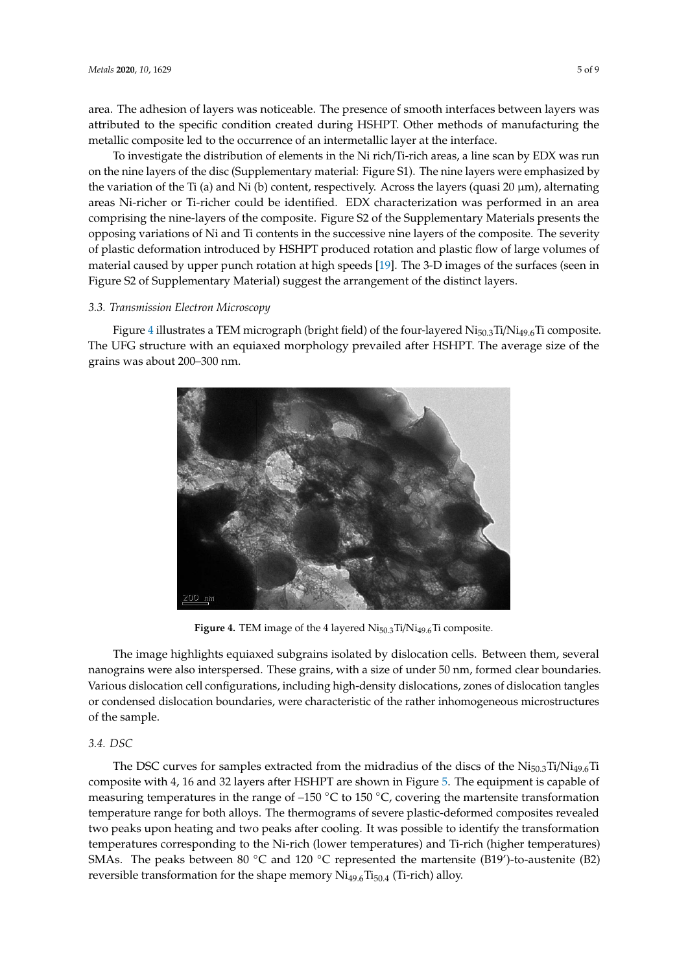area. The adhesion of layers was noticeable. The presence of smooth interfaces between layers was attributed to the specific condition created during HSHPT. Other methods of manufacturing the metallic composite led to the occurrence of an intermetallic layer at the interface.

To investigate the distribution of elements in the Ni rich/Ti-rich areas, a line scan by EDX was run on the nine layers of the disc (Supplementary material: Figure S1). The nine layers were emphasized by the variation of the Ti (a) and Ni (b) content, respectively. Across the layers (quasi 20  $\mu$ m), alternating areas Ni-richer or Ti-richer could be identified. EDX characterization was performed in an area comprising the nine-layers of the composite. Figure S2 of the Supplementary Materials presents the opposing variations of Ni and Ti contents in the successive nine layers of the composite. The severity of plastic deformation introduced by HSHPT produced rotation and plastic flow of large volumes of material caused by upper punch rotation at high speeds [19]. The 3-D images of the surfaces (seen in Figure S2 of Supplementary Material) suggest the arrangement of the distinct layers.

#### *3.3. Transmission Electron Microscopy*

Figure 4 illustrates a TEM micrograph (bright field) of the four-layered  $Ni<sub>50.3</sub>Ti/Ni<sub>49.6</sub>Ti$  composite. The UFG structure with an equiaxed morphology prevailed after HSHPT. The average size of the grains was about 200–300 nm.



**Figure 4.** TEM image of the 4 layered Ni<sub>50.3</sub>Ti/Ni<sub>49.6</sub>Ti composite.

The image highlights equiaxed subgrains isolated by dislocation cells. Between them, several nanograins were also interspersed. These grains, with a size of under 50 nm, formed clear boundaries. Various dislocation cell configurations, including high-density dislocations, zones of dislocation tangles or condensed dislocation boundaries, were characteristic of the rather inhomogeneous microstructures of the sample.

#### *3.4. DSC*

The DSC curves for samples extracted from the midradius of the discs of the  $Ni_{50,3}Ti/Ni_{49,6}Ti$ composite with 4, 16 and 32 layers after HSHPT are shown in Figure 5. The equipment is capable of measuring temperatures in the range of  $-150$  °C to 150 °C, covering the martensite transformation temperature range for both alloys. The thermograms of severe plastic-deformed composites revealed two peaks upon heating and two peaks after cooling. It was possible to identify the transformation temperatures corresponding to the Ni-rich (lower temperatures) and Ti-rich (higher temperatures) SMAs. The peaks between 80 °C and 120 °C represented the martensite (B19')-to-austenite (B2) reversible transformation for the shape memory  $Ni<sub>49.6</sub>Ti<sub>50.4</sub>$  (Ti-rich) alloy.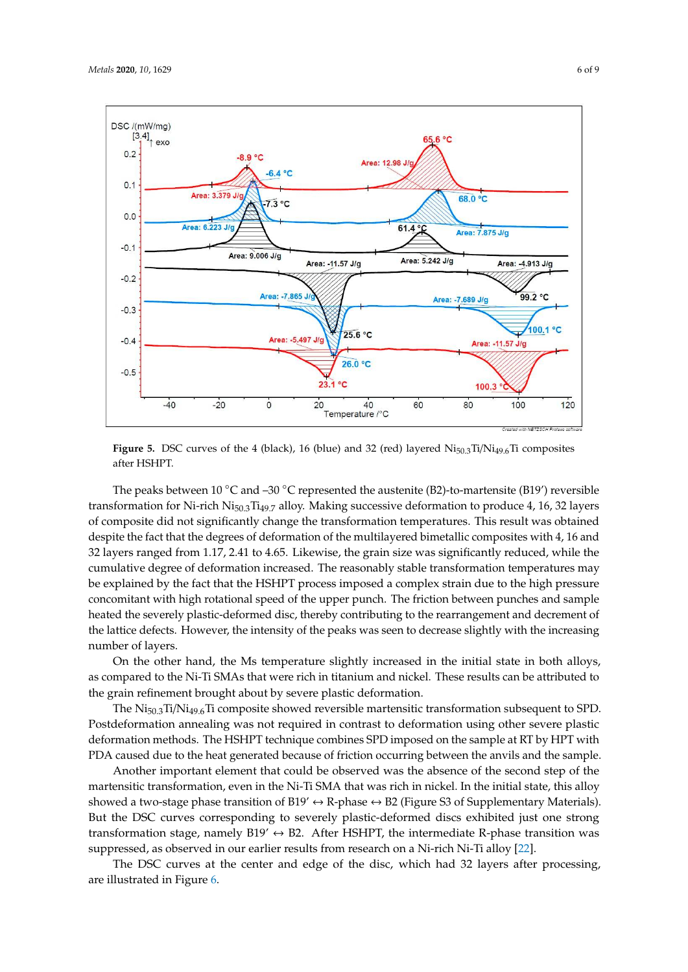

**Figure 5.** DSC curves of the 4 (black), 16 (blue) and 32 (red) layered Ni<sub>50.3</sub>Ti/Ni<sub>49.6</sub>Ti composites after HSHPT.

The peaks between 10 °C and –30 °C represented the austenite (B2)-to-martensite (B19') reversible transformation for Ni-rich Ni<sub>50.3</sub>Ti<sub>49.7</sub> alloy. Making successive deformation to produce 4, 16, 32 layers of composite did not significantly change the transformation temperatures. This result was obtained despite the fact that the degrees of deformation of the multilayered bimetallic composites with 4, 16 and 32 layers ranged from 1.17, 2.41 to 4.65. Likewise, the grain size was significantly reduced, while the cumulative degree of deformation increased. The reasonably stable transformation temperatures may be explained by the fact that the HSHPT process imposed a complex strain due to the high pressure concomitant with high rotational speed of the upper punch. The friction between punches and sample heated the severely plastic-deformed disc, thereby contributing to the rearrangement and decrement of the lattice defects. However, the intensity of the peaks was seen to decrease slightly with the increasing number of layers.

On the other hand, the Ms temperature slightly increased in the initial state in both alloys, as compared to the Ni-Ti SMAs that were rich in titanium and nickel. These results can be attributed to the grain refinement brought about by severe plastic deformation.

The  $Ni<sub>50.3</sub>Ti/Ni<sub>49.6</sub>Ti$  composite showed reversible martensitic transformation subsequent to SPD. Postdeformation annealing was not required in contrast to deformation using other severe plastic deformation methods. The HSHPT technique combines SPD imposed on the sample at RT by HPT with PDA caused due to the heat generated because of friction occurring between the anvils and the sample.

showed a two-stage phase transition of B19' ↔ R-phase ↔ B2 (Figure S3 of Supplementary Materials). transformation stage, namely B19'  $\leftrightarrow$  B2. After HSHPT, the intermediate R-phase transition was Another important element that could be observed was the absence of the second step of the martensitic transformation, even in the Ni-Ti SMA that was rich in nickel. In the initial state, this alloy But the DSC curves corresponding to severely plastic-deformed discs exhibited just one strong suppressed, as observed in our earlier results from research on a Ni-rich Ni-Ti alloy [22].

The DSC curves at the center and edge of the disc, which had 32 layers after processing, are illustrated in Figure 6.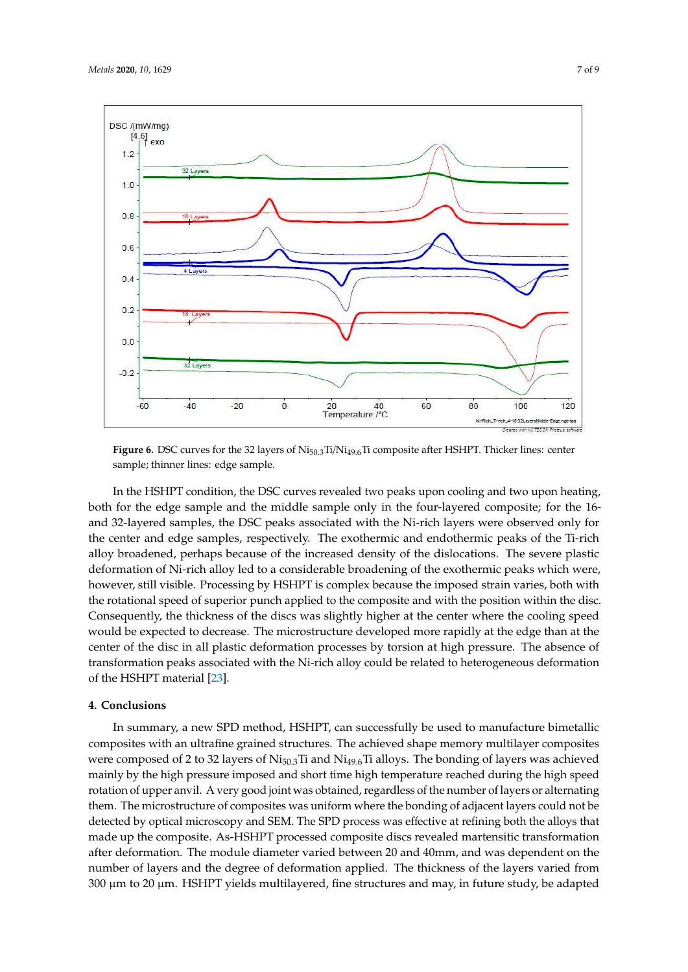

**Figure 6.** DSC curves for the 32 layers of Ni<sub>50.3</sub>Ti/Ni<sub>49.6</sub>Ti composite after HSHPT. Thicker lines: center sample; thinner lines: edge sample.

In the HSHPT condition, the DSC curves revealed two peaks upon cooling and two upon heating, both for the edge sample and the middle sample only in the four-layered composite; for the 16 and 32-layered samples, the DSC peaks associated with the Ni-rich layers were observed only for the center and edge samples, respectively. The exothermic and endothermic peaks of the Ti-rich alloy broadened, perhaps because of the increased density of the dislocations. The severe plastic deformation of Ni-rich alloy led to a considerable broadening of the exothermic peaks which were, however, still visible. Processing by HSHPT is complex because the imposed strain varies, both with the rotational speed of superior punch applied to the composite and with the position within the disc. Consequently, the thickness of the discs was slightly higher at the center where the cooling speed would be expected to decrease. The microstructure developed more rapidly at the edge than at the center of the disc in all plastic deformation processes by torsion at high pressure. The absence of transformation peaks associated with the Ni-rich alloy could be related to heterogeneous deformation of the HSHPT material [23].

#### **4. Conclusions**

In summary, a new SPD method, HSHPT, can successfully be used to manufacture bimetallic composites with an ultrafine grained structures. The achieved shape memory multilayer composites were composed of 2 to 32 layers of Ni<sub>50.3</sub>Ti and Ni<sub>49.6</sub>Ti alloys. The bonding of layers was achieved mainly by the high pressure imposed and short time high temperature reached during the high speed rotation of upper anvil. A very good joint was obtained, regardless of the number of layers or alternating them. The microstructure of composites was uniform where the bonding of adjacent layers could not be detected by optical microscopy and SEM. The SPD process was effective at refining both the alloys that made up the composite. As-HSHPT processed composite discs revealed martensitic transformation after deformation. The module diameter varied between 20 and 40mm, and was dependent on the number of layers and the degree of deformation applied. The thickness of the layers varied from  $300 \mu m$  to  $20 \mu m$ . HSHPT yields multilayered, fine structures and may, in future study, be adapted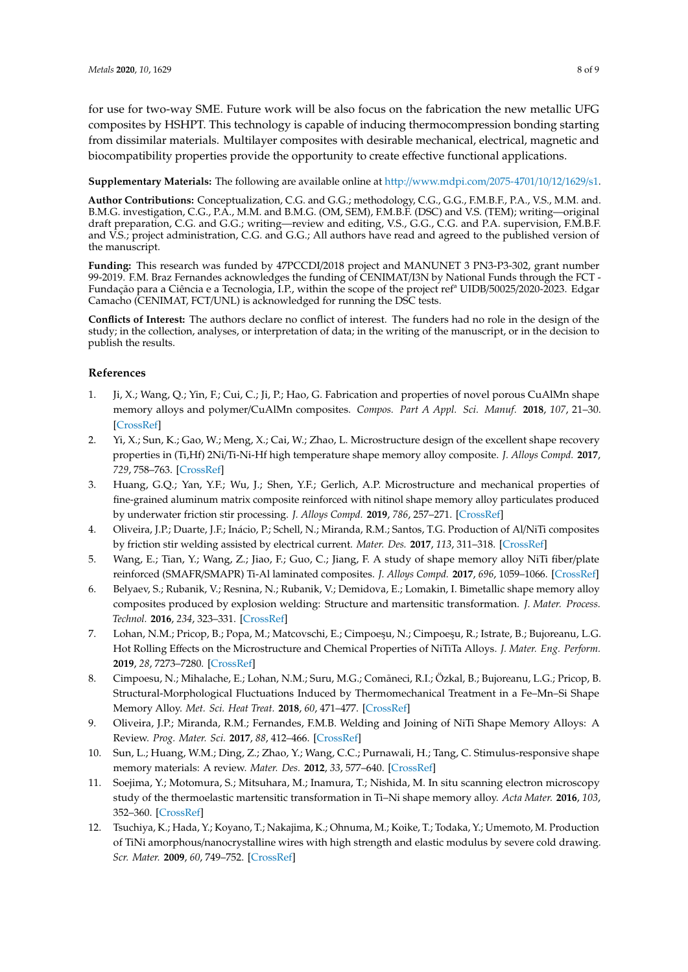for use for two-way SME. Future work will be also focus on the fabrication the new metallic UFG composites by HSHPT. This technology is capable of inducing thermocompression bonding starting from dissimilar materials. Multilayer composites with desirable mechanical, electrical, magnetic and biocompatibility properties provide the opportunity to create effective functional applications.

**Supplementary Materials:** The following are available online at http://www.mdpi.com/2075-4701/10/12/1629/s1.

**Author Contributions:** Conceptualization, C.G. and G.G.; methodology, C.G., G.G., F.M.B.F., P.A., V.S., M.M. and. B.M.G. investigation, C.G., P.A., M.M. and B.M.G. (OM, SEM), F.M.B.F. (DSC) and V.S. (TEM); writing—original draft preparation, C.G. and G.G.; writing—review and editing, V.S., G.G., C.G. and P.A. supervision, F.M.B.F. and V.S.; project administration, C.G. and G.G.; All authors have read and agreed to the published version of the manuscript.

**Funding:** This research was funded by 47PCCDI/2018 project and MANUNET 3 PN3-P3-302, grant number 99-2019. F.M. Braz Fernandes acknowledges the funding of CENIMAT/I3N by National Funds through the FCT - Fundação para a Ciência e a Tecnologia, I.P., within the scope of the project refª UIDB/50025/2020-2023. Edgar Camacho (CENIMAT, FCT/UNL) is acknowledged for running the DSC tests.

**Conflicts of Interest:** The authors declare no conflict of interest. The funders had no role in the design of the study; in the collection, analyses, or interpretation of data; in the writing of the manuscript, or in the decision to publish the results.

## **References**

- 1. Ji, X.; Wang, Q.; Yin, F.; Cui, C.; Ji, P.; Hao, G. Fabrication and properties of novel porous CuAlMn shape memory alloys and polymer/CuAlMn composites. *Compos. Part A Appl. Sci. Manuf.* **2018**, *107*, 21–30. [CrossRef]
- 2. Yi, X.; Sun, K.; Gao, W.; Meng, X.; Cai, W.; Zhao, L. Microstructure design of the excellent shape recovery properties in (Ti,Hf) 2Ni/Ti-Ni-Hf high temperature shape memory alloy composite. *J. Alloys Compd.* **2017**, *729*, 758–763. [CrossRef]
- 3. Huang, G.Q.; Yan, Y.F.; Wu, J.; Shen, Y.F.; Gerlich, A.P. Microstructure and mechanical properties of fine-grained aluminum matrix composite reinforced with nitinol shape memory alloy particulates produced by underwater friction stir processing. *J. Alloys Compd.* **2019**, *786*, 257–271. [CrossRef]
- 4. Oliveira, J.P.; Duarte, J.F.; Inácio, P.; Schell, N.; Miranda, R.M.; Santos, T.G. Production of Al/NiTi composites by friction stir welding assisted by electrical current. *Mater. Des.* **2017**, *113*, 311–318. [CrossRef]
- 5. Wang, E.; Tian, Y.; Wang, Z.; Jiao, F.; Guo, C.; Jiang, F. A study of shape memory alloy NiTi fiber/plate reinforced (SMAFR/SMAPR) Ti-Al laminated composites. *J. Alloys Compd.* **2017**, *696*, 1059–1066. [CrossRef]
- 6. Belyaev, S.; Rubanik, V.; Resnina, N.; Rubanik, V.; Demidova, E.; Lomakin, I. Bimetallic shape memory alloy composites produced by explosion welding: Structure and martensitic transformation. *J. Mater. Process. Technol.* **2016**, *234*, 323–331. [CrossRef]
- 7. Lohan, N.M.; Pricop, B.; Popa, M.; Matcovschi, E.; Cimpoeşu, N.; Cimpoeşu, R.; Istrate, B.; Bujoreanu, L.G. Hot Rolling Effects on the Microstructure and Chemical Properties of NiTiTa Alloys. *J. Mater. Eng. Perform.* **2019**, *28*, 7273–7280. [CrossRef]
- 8. Cimpoesu, N.; Mihalache, E.; Lohan, N.M.; Suru, M.G.; Comãneci, R.I.; Özkal, B.; Bujoreanu, L.G.; Pricop, B. Structural-Morphological Fluctuations Induced by Thermomechanical Treatment in a Fe–Mn–Si Shape Memory Alloy. *Met. Sci. Heat Treat.* **2018**, *60*, 471–477. [CrossRef]
- 9. Oliveira, J.P.; Miranda, R.M.; Fernandes, F.M.B. Welding and Joining of NiTi Shape Memory Alloys: A Review. *Prog. Mater. Sci.* **2017**, *88*, 412–466. [CrossRef]
- 10. Sun, L.; Huang, W.M.; Ding, Z.; Zhao, Y.; Wang, C.C.; Purnawali, H.; Tang, C. Stimulus-responsive shape memory materials: A review. *Mater. Des.* **2012**, *33*, 577–640. [CrossRef]
- 11. Soejima, Y.; Motomura, S.; Mitsuhara, M.; Inamura, T.; Nishida, M. In situ scanning electron microscopy study of the thermoelastic martensitic transformation in Ti–Ni shape memory alloy. *Acta Mater.* **2016**, *103*, 352–360. [CrossRef]
- 12. Tsuchiya, K.; Hada, Y.; Koyano, T.; Nakajima, K.; Ohnuma, M.; Koike, T.; Todaka, Y.; Umemoto, M. Production of TiNi amorphous/nanocrystalline wires with high strength and elastic modulus by severe cold drawing. *Scr. Mater.* **2009**, *60*, 749–752. [CrossRef]